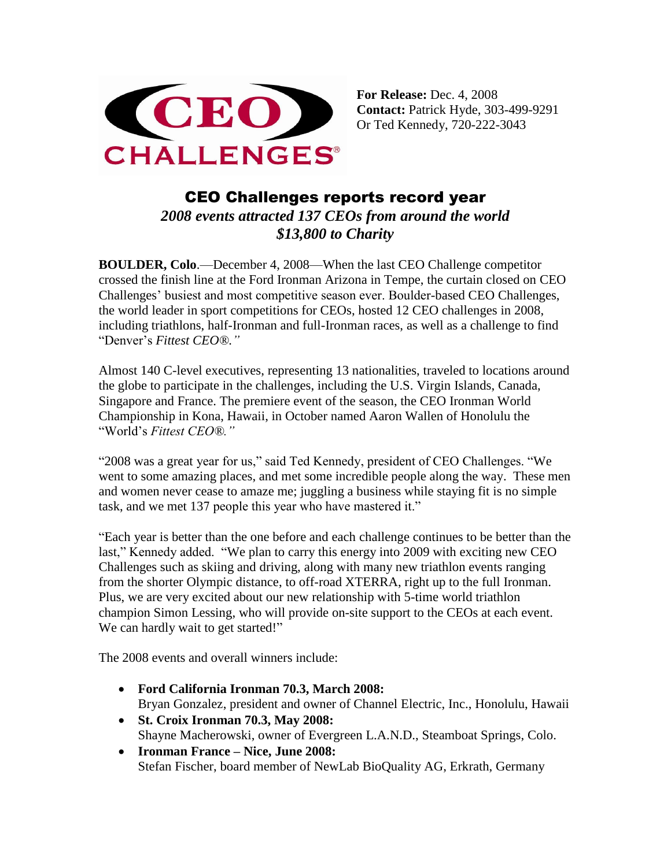

**For Release:** Dec. 4, 2008 **Contact:** Patrick Hyde, 303-499-9291 Or Ted Kennedy, 720-222-3043

## CEO Challenges reports record year *2008 events attracted 137 CEOs from around the world \$13,800 to Charity*

**BOULDER, Colo**.—December 4, 2008—When the last CEO Challenge competitor crossed the finish line at the Ford Ironman Arizona in Tempe, the curtain closed on CEO Challenges' busiest and most competitive season ever. Boulder-based CEO Challenges, the world leader in sport competitions for CEOs, hosted 12 CEO challenges in 2008, including triathlons, half-Ironman and full-Ironman races, as well as a challenge to find "Denver's *Fittest CEO®."*

Almost 140 C-level executives, representing 13 nationalities, traveled to locations around the globe to participate in the challenges, including the U.S. Virgin Islands, Canada, Singapore and France. The premiere event of the season, the CEO Ironman World Championship in Kona, Hawaii, in October named Aaron Wallen of Honolulu the "World's *Fittest CEO®."*

"2008 was a great year for us," said Ted Kennedy, president of CEO Challenges. "We went to some amazing places, and met some incredible people along the way. These men and women never cease to amaze me; juggling a business while staying fit is no simple task, and we met 137 people this year who have mastered it."

"Each year is better than the one before and each challenge continues to be better than the last," Kennedy added. "We plan to carry this energy into 2009 with exciting new CEO Challenges such as skiing and driving, along with many new triathlon events ranging from the shorter Olympic distance, to off-road XTERRA, right up to the full Ironman. Plus, we are very excited about our new relationship with 5-time world triathlon champion Simon Lessing, who will provide on-site support to the CEOs at each event. We can hardly wait to get started!"

The 2008 events and overall winners include:

- **Ford California Ironman 70.3, March 2008:** Bryan Gonzalez, president and owner of Channel Electric, Inc., Honolulu, Hawaii
- **St. Croix Ironman 70.3, May 2008:** Shayne Macherowski, owner of Evergreen L.A.N.D., Steamboat Springs, Colo.
- **Ironman France – Nice, June 2008:** Stefan Fischer, board member of NewLab BioQuality AG, Erkrath, Germany